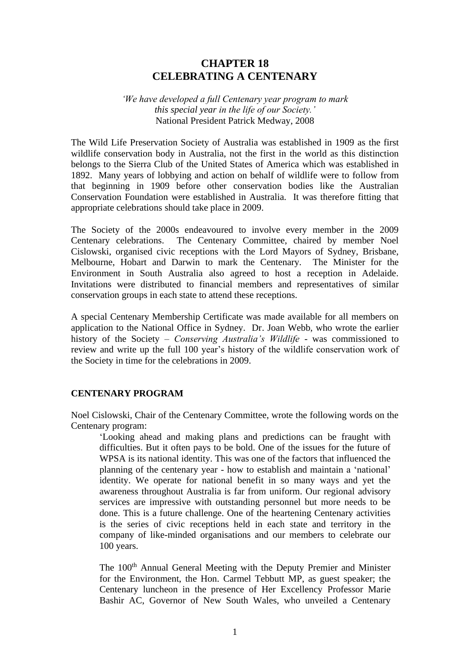# **CHAPTER 18 CELEBRATING A CENTENARY**

#### *'We have developed a full Centenary year program to mark this special year in the life of our Society.'* National President Patrick Medway, 2008

The Wild Life Preservation Society of Australia was established in 1909 as the first wildlife conservation body in Australia, not the first in the world as this distinction belongs to the Sierra Club of the United States of America which was established in 1892. Many years of lobbying and action on behalf of wildlife were to follow from that beginning in 1909 before other conservation bodies like the Australian Conservation Foundation were established in Australia. It was therefore fitting that appropriate celebrations should take place in 2009.

The Society of the 2000s endeavoured to involve every member in the 2009 Centenary celebrations. The Centenary Committee, chaired by member Noel Cislowski, organised civic receptions with the Lord Mayors of Sydney, Brisbane, Melbourne, Hobart and Darwin to mark the Centenary. The Minister for the Environment in South Australia also agreed to host a reception in Adelaide. Invitations were distributed to financial members and representatives of similar conservation groups in each state to attend these receptions.

A special Centenary Membership Certificate was made available for all members on application to the National Office in Sydney. Dr. Joan Webb, who wrote the earlier history of the Society – *Conserving Australia's Wildlife -* was commissioned to review and write up the full 100 year's history of the wildlife conservation work of the Society in time for the celebrations in 2009.

### **CENTENARY PROGRAM**

Noel Cislowski, Chair of the Centenary Committee, wrote the following words on the Centenary program:

'Looking ahead and making plans and predictions can be fraught with difficulties. But it often pays to be bold. One of the issues for the future of WPSA is its national identity. This was one of the factors that influenced the planning of the centenary year - how to establish and maintain a 'national' identity. We operate for national benefit in so many ways and yet the awareness throughout Australia is far from uniform. Our regional advisory services are impressive with outstanding personnel but more needs to be done. This is a future challenge. One of the heartening Centenary activities is the series of civic receptions held in each state and territory in the company of like-minded organisations and our members to celebrate our 100 years.

The 100<sup>th</sup> Annual General Meeting with the Deputy Premier and Minister for the Environment, the Hon. Carmel Tebbutt MP, as guest speaker; the Centenary luncheon in the presence of Her Excellency Professor Marie Bashir AC, Governor of New South Wales, who unveiled a Centenary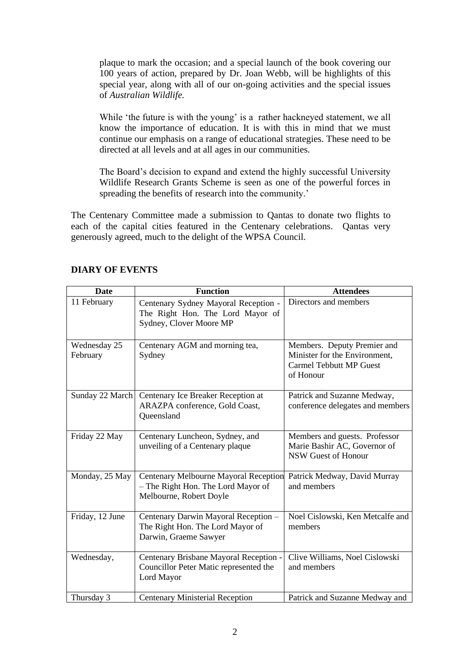plaque to mark the occasion; and a special launch of the book covering our 100 years of action, prepared by Dr. Joan Webb, will be highlights of this special year, along with all of our on-going activities and the special issues of *Australian Wildlife.*

While 'the future is with the young' is a rather hackneyed statement, we all know the importance of education. It is with this in mind that we must continue our emphasis on a range of educational strategies. These need to be directed at all levels and at all ages in our communities.

The Board's decision to expand and extend the highly successful University Wildlife Research Grants Scheme is seen as one of the powerful forces in spreading the benefits of research into the community.'

The Centenary Committee made a submission to Qantas to donate two flights to each of the capital cities featured in the Centenary celebrations. Qantas very generously agreed, much to the delight of the WPSA Council.

| <b>Date</b>              | <b>Function</b>                                                                                               | <b>Attendees</b>                                                                                            |
|--------------------------|---------------------------------------------------------------------------------------------------------------|-------------------------------------------------------------------------------------------------------------|
| 11 February              | Centenary Sydney Mayoral Reception -<br>The Right Hon. The Lord Mayor of<br>Sydney, Clover Moore MP           | Directors and members                                                                                       |
| Wednesday 25<br>February | Centenary AGM and morning tea,<br>Sydney                                                                      | Members. Deputy Premier and<br>Minister for the Environment,<br><b>Carmel Tebbutt MP Guest</b><br>of Honour |
| Sunday 22 March          | Centenary Ice Breaker Reception at<br>ARAZPA conference, Gold Coast,<br>Queensland                            | Patrick and Suzanne Medway,<br>conference delegates and members                                             |
| Friday 22 May            | Centenary Luncheon, Sydney, and<br>unveiling of a Centenary plaque                                            | Members and guests. Professor<br>Marie Bashir AC, Governor of<br>NSW Guest of Honour                        |
| Monday, 25 May           | <b>Centenary Melbourne Mayoral Reception</b><br>- The Right Hon. The Lord Mayor of<br>Melbourne, Robert Doyle | Patrick Medway, David Murray<br>and members                                                                 |
| Friday, 12 June          | Centenary Darwin Mayoral Reception -<br>The Right Hon. The Lord Mayor of<br>Darwin, Graeme Sawyer             | Noel Cislowski, Ken Metcalfe and<br>members                                                                 |
| Wednesday,               | Centenary Brisbane Mayoral Reception -<br>Councillor Peter Matic represented the<br>Lord Mayor                | Clive Williams, Noel Cislowski<br>and members                                                               |
| Thursday 3               | <b>Centenary Ministerial Reception</b>                                                                        | Patrick and Suzanne Medway and                                                                              |

# **DIARY OF EVENTS**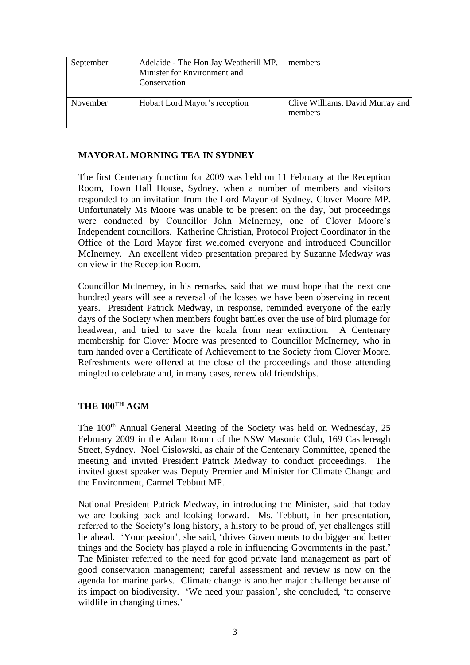| September | Adelaide - The Hon Jay Weatherill MP,<br>Minister for Environment and<br>Conservation | members                                     |
|-----------|---------------------------------------------------------------------------------------|---------------------------------------------|
| November  | Hobart Lord Mayor's reception                                                         | Clive Williams, David Murray and<br>members |

## **MAYORAL MORNING TEA IN SYDNEY**

The first Centenary function for 2009 was held on 11 February at the Reception Room, Town Hall House, Sydney, when a number of members and visitors responded to an invitation from the Lord Mayor of Sydney, Clover Moore MP. Unfortunately Ms Moore was unable to be present on the day, but proceedings were conducted by Councillor John McInerney, one of Clover Moore's Independent councillors. Katherine Christian, Protocol Project Coordinator in the Office of the Lord Mayor first welcomed everyone and introduced Councillor McInerney. An excellent video presentation prepared by Suzanne Medway was on view in the Reception Room.

Councillor McInerney, in his remarks, said that we must hope that the next one hundred years will see a reversal of the losses we have been observing in recent years. President Patrick Medway, in response, reminded everyone of the early days of the Society when members fought battles over the use of bird plumage for headwear, and tried to save the koala from near extinction. A Centenary membership for Clover Moore was presented to Councillor McInerney, who in turn handed over a Certificate of Achievement to the Society from Clover Moore. Refreshments were offered at the close of the proceedings and those attending mingled to celebrate and, in many cases, renew old friendships.

# **THE 100TH AGM**

The 100<sup>th</sup> Annual General Meeting of the Society was held on Wednesday, 25 February 2009 in the Adam Room of the NSW Masonic Club, 169 Castlereagh Street, Sydney. Noel Cislowski, as chair of the Centenary Committee, opened the meeting and invited President Patrick Medway to conduct proceedings. The invited guest speaker was Deputy Premier and Minister for Climate Change and the Environment, Carmel Tebbutt MP.

National President Patrick Medway, in introducing the Minister, said that today we are looking back and looking forward. Ms. Tebbutt, in her presentation, referred to the Society's long history, a history to be proud of, yet challenges still lie ahead. 'Your passion', she said, 'drives Governments to do bigger and better things and the Society has played a role in influencing Governments in the past.' The Minister referred to the need for good private land management as part of good conservation management; careful assessment and review is now on the agenda for marine parks. Climate change is another major challenge because of its impact on biodiversity. 'We need your passion', she concluded, 'to conserve wildlife in changing times.'